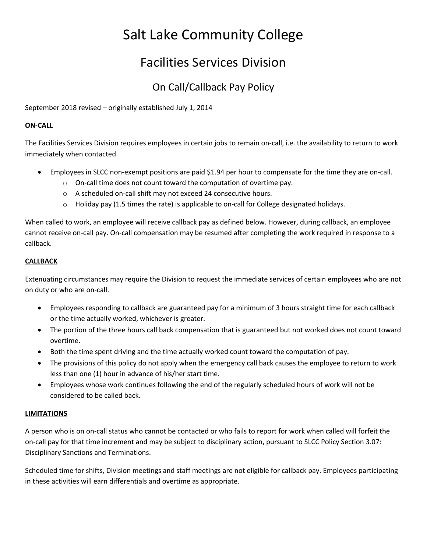# Salt Lake Community College

## Facilities Services Division

### On Call/Callback Pay Policy

September 2018 revised – originally established July 1, 2014

#### **ON-CALL**

The Facilities Services Division requires employees in certain jobs to remain on-call, i.e. the availability to return to work immediately when contacted.

- Employees in SLCC non-exempt positions are paid \$1.94 per hour to compensate for the time they are on-call.
	- o On-call time does not count toward the computation of overtime pay.
	- o A scheduled on-call shift may not exceed 24 consecutive hours.
	- $\circ$  Holiday pay (1.5 times the rate) is applicable to on-call for College designated holidays.

When called to work, an employee will receive callback pay as defined below. However, during callback, an employee cannot receive on-call pay. On-call compensation may be resumed after completing the work required in response to a callback.

#### **CALLBACK**

Extenuating circumstances may require the Division to request the immediate services of certain employees who are not on duty or who are on-call.

- Employees responding to callback are guaranteed pay for a minimum of 3 hours straight time for each callback or the time actually worked, whichever is greater.
- The portion of the three hours call back compensation that is guaranteed but not worked does not count toward overtime.
- Both the time spent driving and the time actually worked count toward the computation of pay.
- The provisions of this policy do not apply when the emergency call back causes the employee to return to work less than one (1) hour in advance of his/her start time.
- Employees whose work continues following the end of the regularly scheduled hours of work will not be considered to be called back.

#### **LIMITATIONS**

A person who is on on-call status who cannot be contacted or who fails to report for work when called will forfeit the on-call pay for that time increment and may be subject to disciplinary action, pursuant to SLCC Policy Section 3.07: Disciplinary Sanctions and Terminations.

Scheduled time for shifts, Division meetings and staff meetings are not eligible for callback pay. Employees participating in these activities will earn differentials and overtime as appropriate.